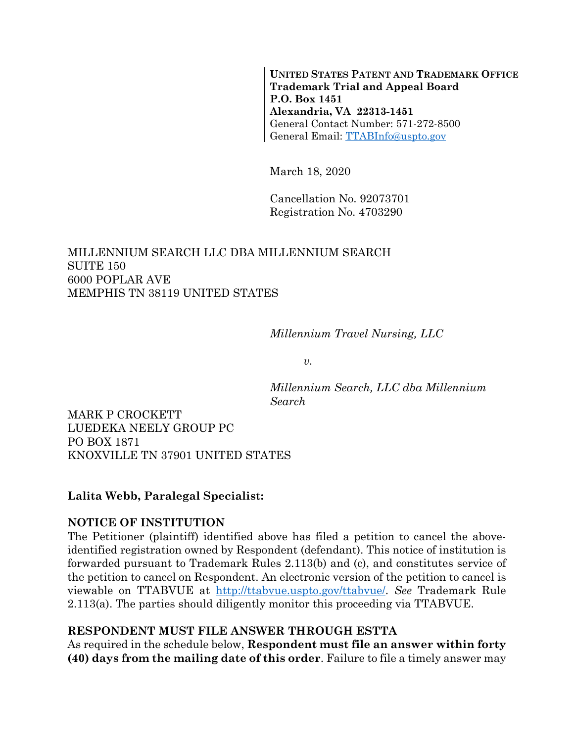**UNITED STATES PATENT AND TRADEMARK OFFICE Trademark Trial and Appeal Board P.O. Box 1451 Alexandria, VA 22313-1451**  General Contact Number: 571-272-8500 General Email: TTABInfo@uspto.gov

March 18, 2020

Cancellation No. 92073701 Registration No. 4703290

### MILLENNIUM SEARCH LLC DBA MILLENNIUM SEARCH SUITE 150 6000 POPLAR AVE MEMPHIS TN 38119 UNITED STATES

*Millennium Travel Nursing, LLC* 

*v.* 

*Millennium Search, LLC dba Millennium Search* 

MARK P CROCKETT LUEDEKA NEELY GROUP PC PO BOX 1871 KNOXVILLE TN 37901 UNITED STATES

### **Lalita Webb, Paralegal Specialist:**

### **NOTICE OF INSTITUTION**

The Petitioner (plaintiff) identified above has filed a petition to cancel the aboveidentified registration owned by Respondent (defendant). This notice of institution is forwarded pursuant to Trademark Rules 2.113(b) and (c), and constitutes service of the petition to cancel on Respondent. An electronic version of the petition to cancel is viewable on TTABVUE at http://ttabvue.uspto.gov/ttabvue/. *See* Trademark Rule 2.113(a). The parties should diligently monitor this proceeding via TTABVUE.

### **RESPONDENT MUST FILE ANSWER THROUGH ESTTA**

As required in the schedule below, **Respondent must file an answer within forty (40) days from the mailing date of this order**. Failure to file a timely answer may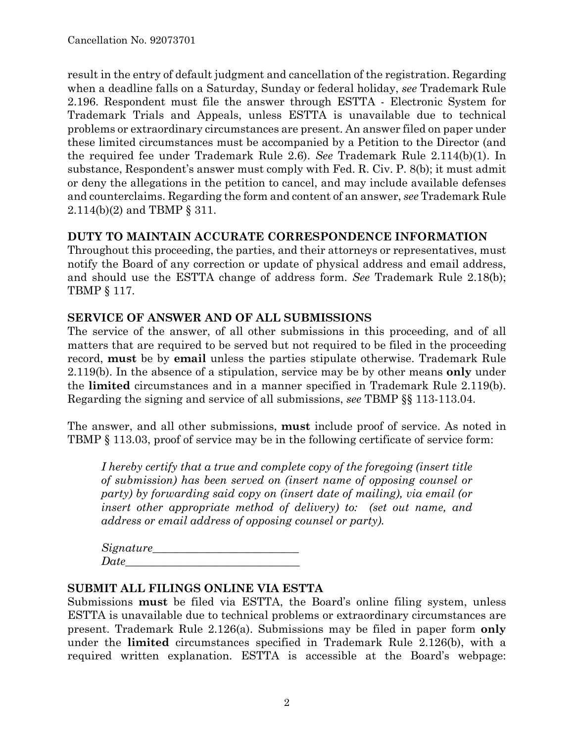result in the entry of default judgment and cancellation of the registration. Regarding when a deadline falls on a Saturday, Sunday or federal holiday, *see* Trademark Rule 2.196. Respondent must file the answer through ESTTA - Electronic System for Trademark Trials and Appeals, unless ESTTA is unavailable due to technical problems or extraordinary circumstances are present. An answer filed on paper under these limited circumstances must be accompanied by a Petition to the Director (and the required fee under Trademark Rule 2.6). *See* Trademark Rule 2.114(b)(1). In substance, Respondent's answer must comply with Fed. R. Civ. P. 8(b); it must admit or deny the allegations in the petition to cancel, and may include available defenses and counterclaims. Regarding the form and content of an answer, *see* Trademark Rule 2.114(b)(2) and TBMP § 311.

### **DUTY TO MAINTAIN ACCURATE CORRESPONDENCE INFORMATION**

Throughout this proceeding, the parties, and their attorneys or representatives, must notify the Board of any correction or update of physical address and email address, and should use the ESTTA change of address form. *See* Trademark Rule 2.18(b); TBMP § 117.

### **SERVICE OF ANSWER AND OF ALL SUBMISSIONS**

The service of the answer, of all other submissions in this proceeding, and of all matters that are required to be served but not required to be filed in the proceeding record, **must** be by **email** unless the parties stipulate otherwise. Trademark Rule 2.119(b). In the absence of a stipulation, service may be by other means **only** under the **limited** circumstances and in a manner specified in Trademark Rule 2.119(b). Regarding the signing and service of all submissions, *see* TBMP §§ 113-113.04.

The answer, and all other submissions, **must** include proof of service. As noted in TBMP § 113.03, proof of service may be in the following certificate of service form:

*I hereby certify that a true and complete copy of the foregoing (insert title of submission) has been served on (insert name of opposing counsel or party) by forwarding said copy on (insert date of mailing), via email (or insert other appropriate method of delivery) to: (set out name, and address or email address of opposing counsel or party).* 

 $Signature$ *Date\_\_\_\_\_\_\_\_\_\_\_\_\_\_\_\_\_\_\_\_\_\_\_\_\_\_\_\_\_\_\_*

#### **SUBMIT ALL FILINGS ONLINE VIA ESTTA**

Submissions **must** be filed via ESTTA, the Board's online filing system, unless ESTTA is unavailable due to technical problems or extraordinary circumstances are present. Trademark Rule 2.126(a). Submissions may be filed in paper form **only** under the **limited** circumstances specified in Trademark Rule 2.126(b), with a required written explanation. ESTTA is accessible at the Board's webpage: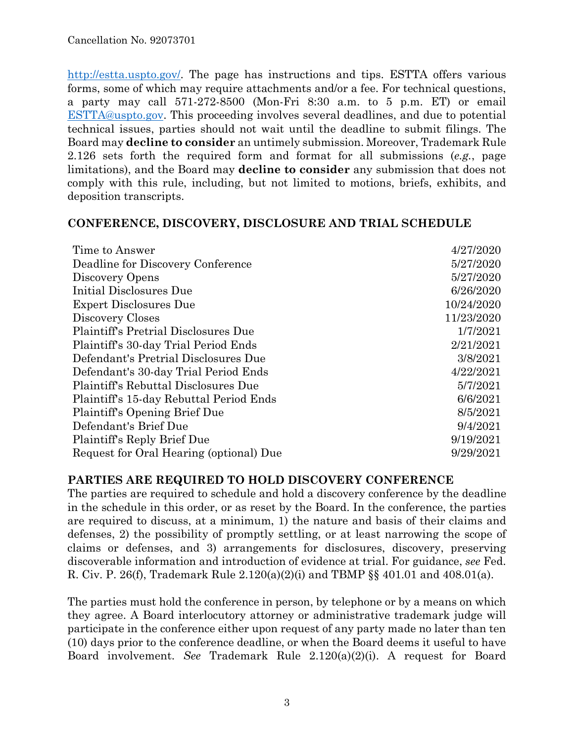http://estta.uspto.gov/. The page has instructions and tips. ESTTA offers various forms, some of which may require attachments and/or a fee. For technical questions, a party may call 571-272-8500 (Mon-Fri 8:30 a.m. to 5 p.m. ET) or email ESTTA@uspto.gov. This proceeding involves several deadlines, and due to potential technical issues, parties should not wait until the deadline to submit filings. The Board may **decline to consider** an untimely submission. Moreover, Trademark Rule 2.126 sets forth the required form and format for all submissions (*e.g.*, page limitations), and the Board may **decline to consider** any submission that does not comply with this rule, including, but not limited to motions, briefs, exhibits, and deposition transcripts.

#### **CONFERENCE, DISCOVERY, DISCLOSURE AND TRIAL SCHEDULE**

| Time to Answer                              | 4/27/2020  |
|---------------------------------------------|------------|
| Deadline for Discovery Conference           | 5/27/2020  |
| Discovery Opens                             | 5/27/2020  |
| Initial Disclosures Due                     | 6/26/2020  |
| <b>Expert Disclosures Due</b>               | 10/24/2020 |
| Discovery Closes                            | 11/23/2020 |
| <b>Plaintiff's Pretrial Disclosures Due</b> | 1/7/2021   |
| Plaintiff's 30-day Trial Period Ends        | 2/21/2021  |
| Defendant's Pretrial Disclosures Due        | 3/8/2021   |
| Defendant's 30-day Trial Period Ends        | 4/22/2021  |
| Plaintiff's Rebuttal Disclosures Due        | 5/7/2021   |
| Plaintiff's 15-day Rebuttal Period Ends     | 6/6/2021   |
| Plaintiff's Opening Brief Due               | 8/5/2021   |
| Defendant's Brief Due                       | 9/4/2021   |
| Plaintiff's Reply Brief Due                 | 9/19/2021  |
| Request for Oral Hearing (optional) Due     | 9/29/2021  |

### **PARTIES ARE REQUIRED TO HOLD DISCOVERY CONFERENCE**

The parties are required to schedule and hold a discovery conference by the deadline in the schedule in this order, or as reset by the Board. In the conference, the parties are required to discuss, at a minimum, 1) the nature and basis of their claims and defenses, 2) the possibility of promptly settling, or at least narrowing the scope of claims or defenses, and 3) arrangements for disclosures, discovery, preserving discoverable information and introduction of evidence at trial. For guidance, *see* Fed. R. Civ. P. 26(f), Trademark Rule 2.120(a)(2)(i) and TBMP §§ 401.01 and 408.01(a).

The parties must hold the conference in person, by telephone or by a means on which they agree. A Board interlocutory attorney or administrative trademark judge will participate in the conference either upon request of any party made no later than ten (10) days prior to the conference deadline, or when the Board deems it useful to have Board involvement. *See* Trademark Rule 2.120(a)(2)(i). A request for Board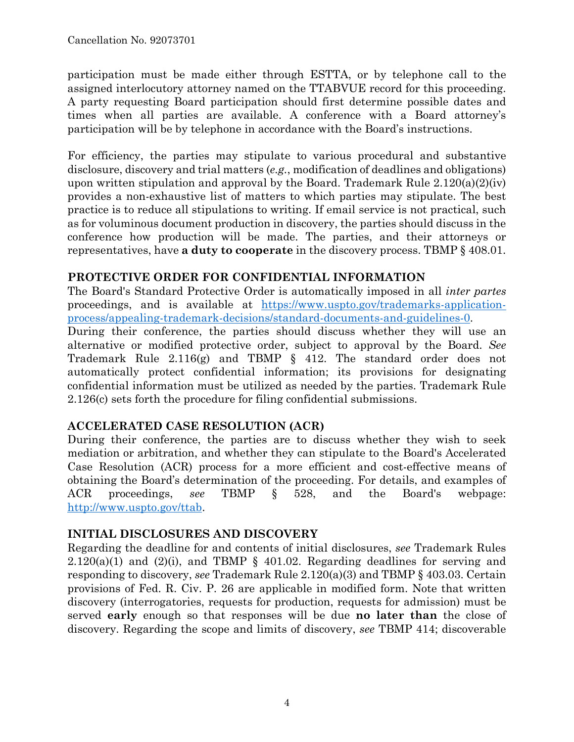participation must be made either through ESTTA, or by telephone call to the assigned interlocutory attorney named on the TTABVUE record for this proceeding. A party requesting Board participation should first determine possible dates and times when all parties are available. A conference with a Board attorney's participation will be by telephone in accordance with the Board's instructions.

For efficiency, the parties may stipulate to various procedural and substantive disclosure, discovery and trial matters (*e.g.*, modification of deadlines and obligations) upon written stipulation and approval by the Board. Trademark Rule  $2.120(a)(2)(iv)$ provides a non-exhaustive list of matters to which parties may stipulate. The best practice is to reduce all stipulations to writing. If email service is not practical, such as for voluminous document production in discovery, the parties should discuss in the conference how production will be made. The parties, and their attorneys or representatives, have **a duty to cooperate** in the discovery process. TBMP § 408.01.

# **PROTECTIVE ORDER FOR CONFIDENTIAL INFORMATION**

The Board's Standard Protective Order is automatically imposed in all *inter partes* proceedings, and is available at https://www.uspto.gov/trademarks-applicationprocess/appealing-trademark-decisions/standard-documents-and-guidelines-0.

During their conference, the parties should discuss whether they will use an alternative or modified protective order, subject to approval by the Board. *See* Trademark Rule 2.116(g) and TBMP § 412. The standard order does not automatically protect confidential information; its provisions for designating confidential information must be utilized as needed by the parties. Trademark Rule 2.126(c) sets forth the procedure for filing confidential submissions.

### **ACCELERATED CASE RESOLUTION (ACR)**

During their conference, the parties are to discuss whether they wish to seek mediation or arbitration, and whether they can stipulate to the Board's Accelerated Case Resolution (ACR) process for a more efficient and cost-effective means of obtaining the Board's determination of the proceeding. For details, and examples of ACR proceedings, *see* TBMP § 528, and the Board's webpage: http://www.uspto.gov/ttab.

### **INITIAL DISCLOSURES AND DISCOVERY**

Regarding the deadline for and contents of initial disclosures, *see* Trademark Rules  $2.120(a)(1)$  and  $(2)(i)$ , and TBMP § 401.02. Regarding deadlines for serving and responding to discovery, *see* Trademark Rule 2.120(a)(3) and TBMP § 403.03. Certain provisions of Fed. R. Civ. P. 26 are applicable in modified form. Note that written discovery (interrogatories, requests for production, requests for admission) must be served **early** enough so that responses will be due **no later than** the close of discovery. Regarding the scope and limits of discovery, *see* TBMP 414; discoverable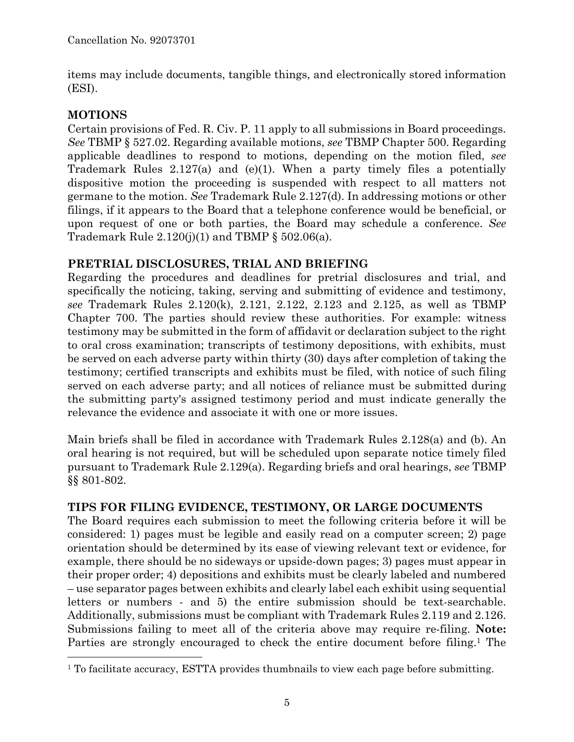items may include documents, tangible things, and electronically stored information (ESI).

# **MOTIONS**

1

Certain provisions of Fed. R. Civ. P. 11 apply to all submissions in Board proceedings. *See* TBMP § 527.02. Regarding available motions, *see* TBMP Chapter 500. Regarding applicable deadlines to respond to motions, depending on the motion filed, *see* Trademark Rules 2.127(a) and (e)(1). When a party timely files a potentially dispositive motion the proceeding is suspended with respect to all matters not germane to the motion. *See* Trademark Rule 2.127(d). In addressing motions or other filings, if it appears to the Board that a telephone conference would be beneficial, or upon request of one or both parties, the Board may schedule a conference. *See* Trademark Rule  $2.120(j)(1)$  and TBMP § 502.06(a).

# **PRETRIAL DISCLOSURES, TRIAL AND BRIEFING**

Regarding the procedures and deadlines for pretrial disclosures and trial, and specifically the noticing, taking, serving and submitting of evidence and testimony, *see* Trademark Rules 2.120(k), 2.121, 2.122, 2.123 and 2.125, as well as TBMP Chapter 700. The parties should review these authorities. For example: witness testimony may be submitted in the form of affidavit or declaration subject to the right to oral cross examination; transcripts of testimony depositions, with exhibits, must be served on each adverse party within thirty (30) days after completion of taking the testimony; certified transcripts and exhibits must be filed, with notice of such filing served on each adverse party; and all notices of reliance must be submitted during the submitting party's assigned testimony period and must indicate generally the relevance the evidence and associate it with one or more issues.

Main briefs shall be filed in accordance with Trademark Rules 2.128(a) and (b). An oral hearing is not required, but will be scheduled upon separate notice timely filed pursuant to Trademark Rule 2.129(a). Regarding briefs and oral hearings, *see* TBMP §§ 801-802.

# **TIPS FOR FILING EVIDENCE, TESTIMONY, OR LARGE DOCUMENTS**

The Board requires each submission to meet the following criteria before it will be considered: 1) pages must be legible and easily read on a computer screen; 2) page orientation should be determined by its ease of viewing relevant text or evidence, for example, there should be no sideways or upside-down pages; 3) pages must appear in their proper order; 4) depositions and exhibits must be clearly labeled and numbered – use separator pages between exhibits and clearly label each exhibit using sequential letters or numbers - and 5) the entire submission should be text-searchable. Additionally, submissions must be compliant with Trademark Rules 2.119 and 2.126. Submissions failing to meet all of the criteria above may require re-filing. **Note:** Parties are strongly encouraged to check the entire document before filing.<sup>1</sup> The

<sup>&</sup>lt;sup>1</sup> To facilitate accuracy, ESTTA provides thumbnails to view each page before submitting.